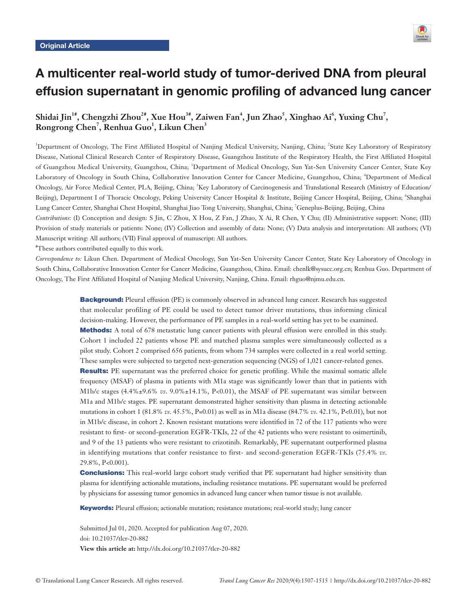

# A multicenter real-world study of tumor-derived DNA from pleural effusion supernatant in genomic profiling of advanced lung cancer

# Shidai Jin<sup>1#</sup>, Chengzhi Zhou<sup>2#</sup>, Xue Hou<sup>3#</sup>, Zaiwen Fan<sup>4</sup>, Jun Zhao<sup>5</sup>, Xinghao Ai<sup>6</sup>, Yuxing Chu<sup>7</sup>,  $\mathbf{Rongrong Chen}^7, \mathbf{Renhua Guo}^1, \mathbf{Likun Chen}^3$

<sup>1</sup>Department of Oncology, The First Affiliated Hospital of Nanjing Medical University, Nanjing, China; <sup>2</sup>State Key Laboratory of Respiratory Disease, National Clinical Research Center of Respiratory Disease, Guangzhou Institute of the Respiratory Health, the First Affiliated Hospital of Guangzhou Medical University, Guangzhou, China; <sup>3</sup>Department of Medical Oncology, Sun Yat-Sen University Cancer Center, State Key Laboratory of Oncology in South China, Collaborative Innovation Center for Cancer Medicine, Guangzhou, China; <sup>4</sup>Department of Medical Oncology, Air Force Medical Center, PLA, Beijing, China; <sup>5</sup>Key Laboratory of Carcinogenesis and Translational Research (Ministry of Education/ Beijing), Department I of Thoracic Oncology, Peking University Cancer Hospital & Institute, Beijing Cancer Hospital, Beijing, China; <sup>6</sup>Shanghai Lung Cancer Center, Shanghai Chest Hospital, Shanghai Jiao Tong University, Shanghai, China; 7 Geneplus-Beijing, Beijing, China

*Contributions:* (I) Conception and design: S Jin, C Zhou, X Hou, Z Fan, J Zhao, X Ai, R Chen, Y Chu; (II) Administrative support: None; (III) Provision of study materials or patients: None; (IV) Collection and assembly of data: None; (V) Data analysis and interpretation: All authors; (VI) Manuscript writing: All authors; (VII) Final approval of manuscript: All authors.

# These authors contributed equally to this work.

*Correspondence to:* Likun Chen. Department of Medical Oncology, Sun Yat-Sen University Cancer Center, State Key Laboratory of Oncology in South China, Collaborative Innovation Center for Cancer Medicine, Guangzhou, China. Email: chenlk@sysucc.org.cn; Renhua Guo. Department of Oncology, The First Affiliated Hospital of Nanjing Medical University, Nanjing, China. Email: rhguo@njmu.edu.cn.

> **Background:** Pleural effusion (PE) is commonly observed in advanced lung cancer. Research has suggested that molecular profiling of PE could be used to detect tumor driver mutations, thus informing clinical decision-making. However, the performance of PE samples in a real-world setting has yet to be examined. **Methods:** A total of 678 metastatic lung cancer patients with pleural effusion were enrolled in this study. Cohort 1 included 22 patients whose PE and matched plasma samples were simultaneously collected as a pilot study. Cohort 2 comprised 656 patients, from whom 734 samples were collected in a real world setting. These samples were subjected to targeted next-generation sequencing (NGS) of 1,021 cancer-related genes. **Results:** PE supernatant was the preferred choice for genetic profiling. While the maximal somatic allele frequency (MSAF) of plasma in patients with M1a stage was significantly lower than that in patients with M1b/c stages (4.4%±9.6% *vs*. 9.0%±14.1%, P<0.01), the MSAF of PE supernatant was similar between M1a and M1b/c stages. PE supernatant demonstrated higher sensitivity than plasma in detecting actionable mutations in cohort 1 (81.8% *vs*. 45.5%, P=0.01) as well as in M1a disease (84.7% *vs*. 42.1%, P<0.01), but not in M1b/c disease, in cohort 2. Known resistant mutations were identified in 72 of the 117 patients who were resistant to first- or second-generation EGFR-TKIs, 22 of the 42 patients who were resistant to osimertinib, and 9 of the 13 patients who were resistant to crizotinib. Remarkably, PE supernatant outperformed plasma in identifying mutations that confer resistance to first- and second-generation EGFR-TKIs (75.4% *vs*. 29.8%, P<0.001).

> **Conclusions:** This real-world large cohort study verified that PE supernatant had higher sensitivity than plasma for identifying actionable mutations, including resistance mutations. PE supernatant would be preferred by physicians for assessing tumor genomics in advanced lung cancer when tumor tissue is not available.

Keywords: Pleural effusion; actionable mutation; resistance mutations; real-world study; lung cancer

Submitted Jul 01, 2020. Accepted for publication Aug 07, 2020. doi: 10.21037/tlcr-20-882 **View this article at:** http://dx.doi.org/10.21037/tlcr-20-882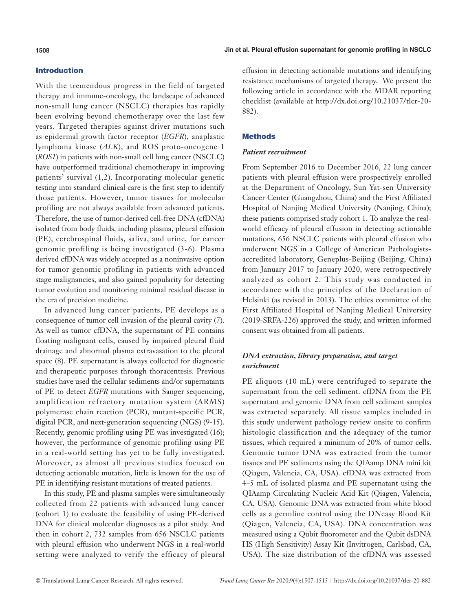## Introduction

With the tremendous progress in the field of targeted therapy and immune-oncology, the landscape of advanced non-small lung cancer (NSCLC) therapies has rapidly been evolving beyond chemotherapy over the last few years. Targeted therapies against driver mutations such as epidermal growth factor receptor (*EGFR*), anaplastic lymphoma kinase (*ALK*), and ROS proto-oncogene 1 (*ROS1*) in patients with non-small cell lung cancer (NSCLC) have outperformed traditional chemotherapy in improving patients' survival (1,2). Incorporating molecular genetic testing into standard clinical care is the first step to identify those patients. However, tumor tissues for molecular profiling are not always available from advanced patients. Therefore, the use of tumor-derived cell-free DNA (cfDNA) isolated from body fluids, including plasma, pleural effusion (PE), cerebrospinal fluids, saliva, and urine, for cancer genomic profiling is being investigated (3-6). Plasma derived cfDNA was widely accepted as a noninvasive option for tumor genomic profiling in patients with advanced stage malignancies, and also gained popularity for detecting tumor evolution and monitoring minimal residual disease in the era of precision medicine.

In advanced lung cancer patients, PE develops as a consequence of tumor cell invasion of the pleural cavity (7). As well as tumor cfDNA, the supernatant of PE contains floating malignant cells, caused by impaired pleural fluid drainage and abnormal plasma extravasation to the pleural space (8). PE supernatant is always collected for diagnostic and therapeutic purposes through thoracentesis. Previous studies have used the cellular sediments and/or supernatants of PE to detect *EGFR* mutations with Sanger sequencing, amplification refractory mutation system (ARMS) polymerase chain reaction (PCR), mutant-specific PCR, digital PCR, and next-generation sequencing (NGS) (9-15). Recently, genomic profiling using PE was investigated (16); however, the performance of genomic profiling using PE in a real-world setting has yet to be fully investigated. Moreover, as almost all previous studies focused on detecting actionable mutation, little is known for the use of PE in identifying resistant mutations of treated patients.

In this study, PE and plasma samples were simultaneously collected from 22 patients with advanced lung cancer (cohort 1) to evaluate the feasibility of using PE-derived DNA for clinical molecular diagnoses as a pilot study. And then in cohort 2, 732 samples from 656 NSCLC patients with pleural effusion who underwent NGS in a real-world setting were analyzed to verify the efficacy of pleural

effusion in detecting actionable mutations and identifying resistance mechanisms of targeted therapy. We present the following article in accordance with the MDAR reporting checklist (available at [http://dx.doi.org/10.21037/tlcr-20-](http://dx.doi.org/10.21037/tlcr-20-882) [882\)](http://dx.doi.org/10.21037/tlcr-20-882).

## **Methods**

## *Patient recruitment*

From September 2016 to December 2016, 22 lung cancer patients with pleural effusion were prospectively enrolled at the Department of Oncology, Sun Yat-sen University Cancer Center (Guangzhou, China) and the First Affiliated Hospital of Nanjing Medical University (Nanjing, China); these patients comprised study cohort 1. To analyze the realworld efficacy of pleural effusion in detecting actionable mutations, 656 NSCLC patients with pleural effusion who underwent NGS in a College of American Pathologistsaccredited laboratory, Geneplus-Beijing (Beijing, China) from January 2017 to January 2020, were retrospectively analyzed as cohort 2. This study was conducted in accordance with the principles of the Declaration of Helsinki (as revised in 2013). The ethics committee of the First Affiliated Hospital of Nanjing Medical University (2019-SRFA-226) approved the study, and written informed consent was obtained from all patients.

# *DNA extraction, library preparation, and target enrichment*

PE aliquots (10 mL) were centrifuged to separate the supernatant from the cell sediment. cfDNA from the PE supernatant and genomic DNA from cell sediment samples was extracted separately. All tissue samples included in this study underwent pathology review onsite to confirm histologic classification and the adequacy of the tumor tissues, which required a minimum of 20% of tumor cells. Genomic tumor DNA was extracted from the tumor tissues and PE sediments using the QIAamp DNA mini kit (Qiagen, Valencia, CA, USA). cfDNA was extracted from 4–5 mL of isolated plasma and PE supernatant using the QIAamp Circulating Nucleic Acid Kit (Qiagen, Valencia, CA, USA). Genomic DNA was extracted from white blood cells as a germline control using the DNeasy Blood Kit (Qiagen, Valencia, CA, USA). DNA concentration was measured using a Qubit fluorometer and the Qubit dsDNA HS (High Sensitivity) Assay Kit (Invitrogen, Carlsbad, CA, USA). The size distribution of the cfDNA was assessed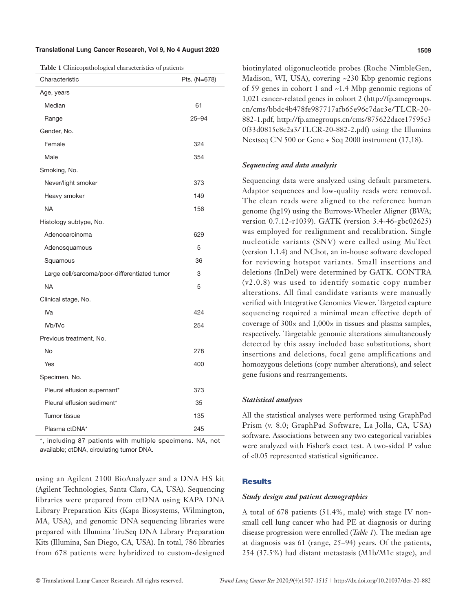#### **Translational Lung Cancer Research, Vol 9, No 4 August 2020 1509**

|  | Table 1 Clinicopathological characteristics of patients |  |
|--|---------------------------------------------------------|--|
|  |                                                         |  |

| Characteristic                               | Pts. (N=678) |  |  |
|----------------------------------------------|--------------|--|--|
| Age, years                                   |              |  |  |
| Median                                       | 61           |  |  |
| Range                                        | $25 - 94$    |  |  |
| Gender, No.                                  |              |  |  |
| Female                                       | 324          |  |  |
| Male                                         | 354          |  |  |
| Smoking, No.                                 |              |  |  |
| Never/light smoker                           | 373          |  |  |
| Heavy smoker                                 | 149          |  |  |
| <b>NA</b>                                    | 156          |  |  |
| Histology subtype, No.                       |              |  |  |
| Adenocarcinoma                               | 629          |  |  |
| Adenosquamous                                | 5            |  |  |
| Squamous                                     | 36           |  |  |
| Large cell/sarcoma/poor-differentiated tumor | 3            |  |  |
| <b>NA</b>                                    | 5            |  |  |
| Clinical stage, No.                          |              |  |  |
| IVa                                          | 424          |  |  |
| IVb/IVc                                      | 254          |  |  |
| Previous treatment, No.                      |              |  |  |
| No                                           | 278          |  |  |
| Yes                                          | 400          |  |  |
| Specimen, No.                                |              |  |  |
| Pleural effusion supernant*                  | 373          |  |  |
| Pleural effusion sediment*                   | 35           |  |  |
| Tumor tissue                                 | 135          |  |  |
| Plasma ctDNA*                                | 245          |  |  |

\*, including 87 patients with multiple specimens. NA, not available; ctDNA, circulating tumor DNA.

using an Agilent 2100 BioAnalyzer and a DNA HS kit (Agilent Technologies, Santa Clara, CA, USA). Sequencing libraries were prepared from ctDNA using KAPA DNA Library Preparation Kits (Kapa Biosystems, Wilmington, MA, USA), and genomic DNA sequencing libraries were prepared with Illumina TruSeq DNA Library Preparation Kits (Illumina, San Diego, CA, USA). In total, 786 libraries from 678 patients were hybridized to custom-designed

biotinylated oligonucleotide probes (Roche NimbleGen, Madison, WI, USA), covering ~230 Kbp genomic regions of 59 genes in cohort 1 and ~1.4 Mbp genomic regions of 1,021 cancer-related genes in cohort 2 [\(http://fp.amegroups.](http://fp.amegroups.cn/cms/bbdc4b478fe987717afb65e96c7dac3e/TLCR-20-882-1.pdf) [cn/cms/bbdc4b478fe987717afb65e96c7dac3e/TLCR-20-](http://fp.amegroups.cn/cms/bbdc4b478fe987717afb65e96c7dac3e/TLCR-20-882-1.pdf) [882-1.pdf](http://fp.amegroups.cn/cms/bbdc4b478fe987717afb65e96c7dac3e/TLCR-20-882-1.pdf), [http://fp.amegroups.cn/cms/875622dace17595c3](http://fp.amegroups.cn/cms/875622dace17595c30f33d0815c8c2a3/TLCR-20-882-2.pdf) [0f33d0815c8c2a3/TLCR-20-882-2.pdf](http://fp.amegroups.cn/cms/875622dace17595c30f33d0815c8c2a3/TLCR-20-882-2.pdf)) using the Illumina Nextseq CN 500 or Gene + Seq 2000 instrument (17,18).

#### *Sequencing and data analysis*

Sequencing data were analyzed using default parameters. Adaptor sequences and low-quality reads were removed. The clean reads were aligned to the reference human genome (hg19) using the Burrows-Wheeler Aligner (BWA; version 0.7.12-r1039). GATK (version 3.4-46-gbc02625) was employed for realignment and recalibration. Single nucleotide variants (SNV) were called using MuTect (version 1.1.4) and NChot, an in-house software developed for reviewing hotspot variants. Small insertions and deletions (InDel) were determined by GATK. CONTRA (v2.0.8) was used to identify somatic copy number alterations. All final candidate variants were manually verified with Integrative Genomics Viewer. Targeted capture sequencing required a minimal mean effective depth of coverage of 300× and 1,000× in tissues and plasma samples, respectively. Targetable genomic alterations simultaneously detected by this assay included base substitutions, short insertions and deletions, focal gene amplifications and homozygous deletions (copy number alterations), and select gene fusions and rearrangements.

#### *Statistical analyses*

All the statistical analyses were performed using GraphPad Prism (v. 8.0; GraphPad Software, La Jolla, CA, USA) software. Associations between any two categorical variables were analyzed with Fisher's exact test. A two-sided P value of <0.05 represented statistical significance.

## **Results**

## *Study design and patient demographics*

A total of 678 patients (51.4%, male) with stage IV nonsmall cell lung cancer who had PE at diagnosis or during disease progression were enrolled (*Table 1*). The median age at diagnosis was 61 (range, 25–94) years. Of the patients, 254 (37.5%) had distant metastasis (M1b/M1c stage), and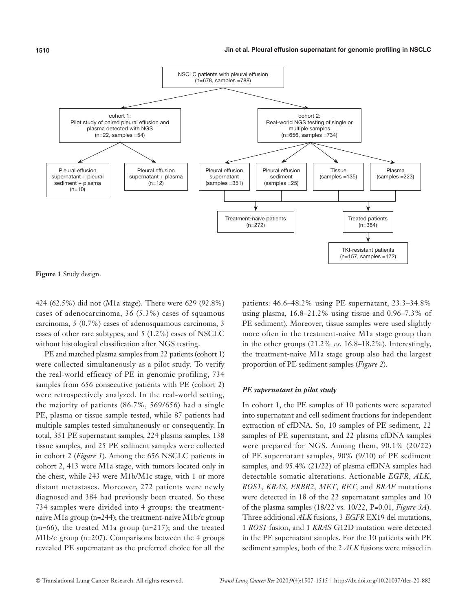

**Figure 1** Study design.

424 (62.5%) did not (M1a stage). There were 629 (92.8%) cases of adenocarcinoma, 36 (5.3%) cases of squamous carcinoma, 5 (0.7%) cases of adenosquamous carcinoma, 3 cases of other rare subtypes, and 5 (1.2%) cases of NSCLC without histological classification after NGS testing.

PE and matched plasma samples from 22 patients (cohort 1) were collected simultaneously as a pilot study. To verify the real-world efficacy of PE in genomic profiling, 734 samples from 656 consecutive patients with PE (cohort 2) were retrospectively analyzed. In the real-world setting, the majority of patients (86.7%, 569/656) had a single PE, plasma or tissue sample tested, while 87 patients had multiple samples tested simultaneously or consequently. In total, 351 PE supernatant samples, 224 plasma samples, 138 tissue samples, and 25 PE sediment samples were collected in cohort 2 (*Figure 1*). Among the 656 NSCLC patients in cohort 2, 413 were M1a stage, with tumors located only in the chest, while 243 were M1b/M1c stage, with 1 or more distant metastases. Moreover, 272 patients were newly diagnosed and 384 had previously been treated. So these 734 samples were divided into 4 groups: the treatmentnaive M1a group (n=244); the treatment-naive M1b/c group  $(n=66)$ , the treated M1a group  $(n=217)$ ; and the treated M1b/c group (n=207). Comparisons between the 4 groups revealed PE supernatant as the preferred choice for all the

patients: 46.6–48.2% using PE supernatant, 23.3–34.8% using plasma, 16.8–21.2% using tissue and 0.96–7.3% of PE sediment). Moreover, tissue samples were used slightly more often in the treatment-naive M1a stage group than in the other groups (21.2% *vs*. 16.8–18.2%). Interestingly, the treatment-naive M1a stage group also had the largest proportion of PE sediment samples (*Figure 2*).

### *PE supernatant in pilot study*

In cohort 1, the PE samples of 10 patients were separated into supernatant and cell sediment fractions for independent extraction of cfDNA. So, 10 samples of PE sediment, 22 samples of PE supernatant, and 22 plasma cfDNA samples were prepared for NGS. Among them, 90.1% (20/22) of PE supernatant samples, 90% (9/10) of PE sediment samples, and 95.4% (21/22) of plasma cfDNA samples had detectable somatic alterations. Actionable *EGFR*, *ALK*, *ROS1*, *KRAS*, *ERBB2*, *MET*, *RET*, and *BRAF* mutations were detected in 18 of the 22 supernatant samples and 10 of the plasma samples (18/22 vs. 10/22, P=0.01, *Figure 3A*). Three additional *ALK* fusions, 3 *EGFR* EX19 del mutations, 1 *ROS1* fusion, and 1 *KRAS* G12D mutation were detected in the PE supernatant samples. For the 10 patients with PE sediment samples, both of the 2 *ALK* fusions were missed in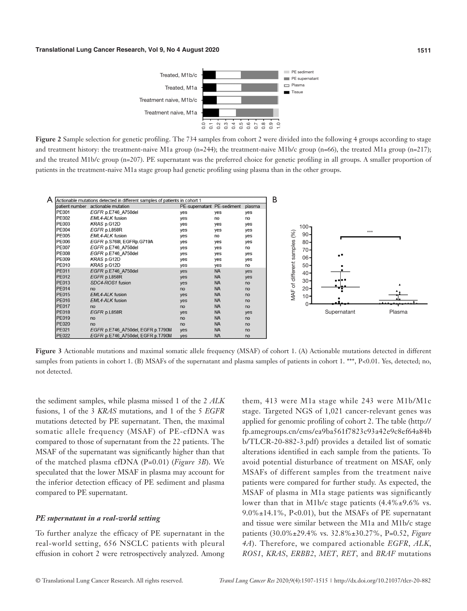

**Figure 2** Sample selection for genetic profiling. The 734 samples from cohort 2 were divided into the following 4 groups according to stage and treatment history: the treatment-naive M1a group (n=244); the treatment-naive M1b/c group (n=66), the treated M1a group (n=217); and the treated M1b/c group (n=207). PE supernatant was the preferred choice for genetic profiling in all groups. A smaller proportion of patients in the treatment-naive M1a stage group had genetic profiling using plasma than in the other groups.



**Figure 3** Actionable mutations and maximal somatic allele frequency (MSAF) of cohort 1. (A) Actionable mutations detected in different samples from patients in cohort 1. (B) MSAFs of the supernatant and plasma samples of patients in cohort 1. \*\*\*, P<0.01. Yes, detected; no, not detected.

the sediment samples, while plasma missed 1 of the 2 *ALK* fusions, 1 of the 3 *KRAS* mutations, and 1 of the 5 *EGFR* mutations detected by PE supernatant. Then, the maximal somatic allele frequency (MSAF) of PE-cfDNA was compared to those of supernatant from the 22 patients. The MSAF of the supernatant was significantly higher than that of the matched plasma cfDNA (P=0.01) (*Figure 3B*). We speculated that the lower MSAF in plasma may account for the inferior detection efficacy of PE sediment and plasma compared to PE supernatant.

#### *PE supernatant in a real-world setting*

To further analyze the efficacy of PE supernatant in the real-world setting, 656 NSCLC patients with pleural effusion in cohort 2 were retrospectively analyzed. Among

them, 413 were M1a stage while 243 were M1b/M1c stage. Targeted NGS of 1,021 cancer-relevant genes was applied for genomic profiling of cohort 2. The table ([http://](http://fp.amegroups.cn/cms/ea9ba561f7823c93a42e9c8ef64a84bb/TLCR-20-882-3.pdf) [fp.amegroups.cn/cms/ea9ba561f7823c93a42e9c8ef64a84b](http://fp.amegroups.cn/cms/ea9ba561f7823c93a42e9c8ef64a84bb/TLCR-20-882-3.pdf) [b/TLCR-20-882-3.pdf](http://fp.amegroups.cn/cms/ea9ba561f7823c93a42e9c8ef64a84bb/TLCR-20-882-3.pdf)) provides a detailed list of somatic alterations identified in each sample from the patients. To avoid potential disturbance of treatment on MSAF, only MSAFs of different samples from the treatment naive patients were compared for further study. As expected, the MSAF of plasma in M1a stage patients was significantly lower than that in M1b/c stage patients (4.4%±9.6% vs. 9.0%±14.1%, P<0.01), but the MSAFs of PE supernatant and tissue were similar between the M1a and M1b/c stage patients (30.0%±29.4% vs. 32.8%±30.27%, P=0.52, *Figure 4A*). Therefore, we compared actionable *EGFR*, *ALK*, *ROS1*, *KRAS*, *ERBB2*, *MET*, *RET*, and *BRAF* mutations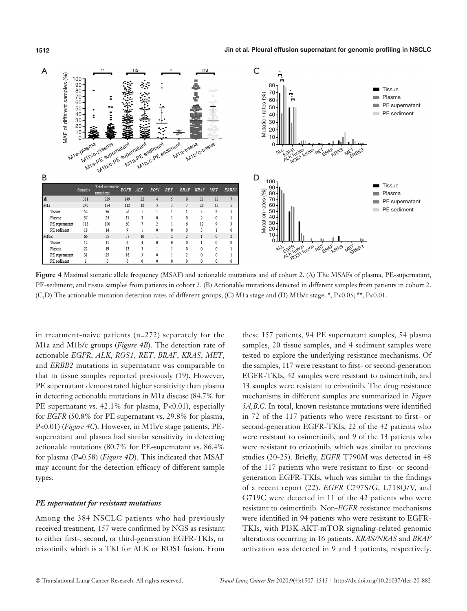



**Figure 4** Maximal somatic allele frequency (MSAF) and actionable mutations and of cohort 2. (A) The MSAFs of plasma, PE-supernatant, PE-sediment, and tissue samples from patients in cohort 2. (B) Actionable mutations detected in different samples from patients in cohort 2. (C,D) The actionable mutation detection rates of different groups; (C) M1a stage and (D) M1b/c stage. \*, P<0.05; \*\*, P<0.01.

in treatment-naive patients (n=272) separately for the M1a and M1b/c groups (*Figure 4B*). The detection rate of actionable *EGFR*, *ALK*, *ROS1*, *RET*, *BRAF*, *KRAS*, *MET*, and *ERBB2* mutations in supernatant was comparable to that in tissue samples reported previously (19). However, PE supernatant demonstrated higher sensitivity than plasma in detecting actionable mutations in M1a disease (84.7% for PE supernatant vs. 42.1% for plasma, P<0.01), especially for *EGFR* (50.8% for PE supernatant vs. 29.8% for plasma, P<0.01) (*Figure 4C*). However, in M1b/c stage patients, PEsupernatant and plasma had similar sensitivity in detecting actionable mutations (80.7% for PE-supernatant vs. 86.4% for plasma (P=0.58) (*Figure 4D*). This indicated that MSAF may account for the detection efficacy of different sample types.

## *PE supernatant for resistant mutations*

Among the 384 NSCLC patients who had previously received treatment, 157 were confirmed by NGS as resistant to either first-, second, or third-generation EGFR-TKIs, or crizotinib, which is a TKI for ALK or ROS1 fusion. From

these 157 patients, 94 PE supernatant samples, 54 plasma samples, 20 tissue samples, and 4 sediment samples were tested to explore the underlying resistance mechanisms. Of the samples, 117 were resistant to first- or second-generation EGFR-TKIs, 42 samples were resistant to osimertinib, and 13 samples were resistant to crizotinib. The drug resistance mechanisms in different samples are summarized in *Figure 5A,B,C*. In total, known resistance mutations were identified in 72 of the 117 patients who were resistant to first- or second-generation EGFR-TKIs, 22 of the 42 patients who were resistant to osimertinib, and 9 of the 13 patients who were resistant to crizotinib, which was similar to previous studies (20-25). Briefly, *EGFR* T790M was detected in 48 of the 117 patients who were resistant to first- or secondgeneration EGFR-TKIs, which was similar to the findings of a recent report (22). *EGFR* C797S/G, L718Q/V, and G719C were detected in 11 of the 42 patients who were resistant to osimertinib. Non-*EGFR* resistance mechanisms were identified in 94 patients who were resistant to EGFR-TKIs, with PI3K-AKT-mTOR signaling-related genomic alterations occurring in 16 patients. *KRAS/NRAS* and *BRAF* activation was detected in 9 and 3 patients, respectively.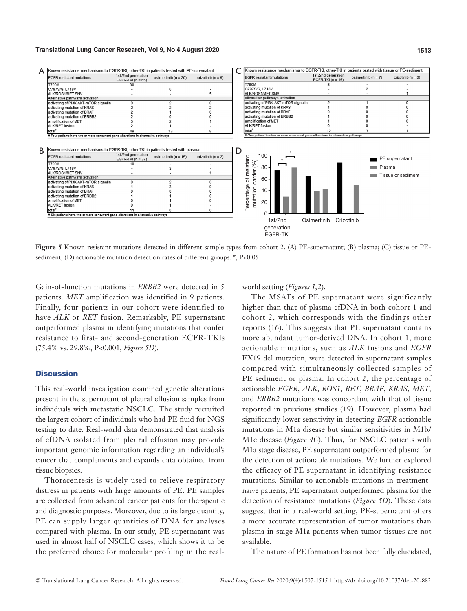#### **Translational Lung Cancer Research, Vol 9, No 4 August 2020 1513**

| A | Known resistance mechanisms to EGFR-TKI, other-TKI in patients tested with PE-supernatant                                                                                                       |                                                                                                                                                                  |                          |                        |   | Known resistance mechanisms to EGFR-TKI, other-TKI in patients tested with tissue or PE-sediment |                                           |                         |                                      |
|---|-------------------------------------------------------------------------------------------------------------------------------------------------------------------------------------------------|------------------------------------------------------------------------------------------------------------------------------------------------------------------|--------------------------|------------------------|---|--------------------------------------------------------------------------------------------------|-------------------------------------------|-------------------------|--------------------------------------|
|   | <b>EGFR</b> resistant mutations                                                                                                                                                                 | 1st/2nd generation<br>EGFR-TKI $(n = 65)$                                                                                                                        | osimertinib ( $n = 20$ ) | crizotinib ( $n = 9$ ) |   | <b>EGFR</b> resistant mutations                                                                  | 1st/2nd generation<br>EGFR-TKI $(n = 15)$ | osimertinib ( $n = 7$ ) | crizotinib ( $n = 2$ )               |
|   | <b>T790M</b>                                                                                                                                                                                    | 30                                                                                                                                                               |                          |                        |   | T790M                                                                                            | 8                                         |                         |                                      |
|   | C797S/G. L718V                                                                                                                                                                                  |                                                                                                                                                                  |                          |                        |   | C797S/G, L718V                                                                                   |                                           |                         |                                      |
|   | ALK/ROS1/MET SNV                                                                                                                                                                                |                                                                                                                                                                  |                          |                        |   | ALK/ROS1/MET SNV                                                                                 |                                           |                         |                                      |
|   | Alternative pathways activation                                                                                                                                                                 |                                                                                                                                                                  |                          |                        |   | Alternative pathways activation                                                                  |                                           |                         |                                      |
|   | activating of PI3K-AKT-mTOR signalin                                                                                                                                                            |                                                                                                                                                                  |                          |                        |   | activating of PI3K-AKT-mTOR signalin                                                             | $\overline{2}$                            |                         |                                      |
|   | activating mutation of KRAS                                                                                                                                                                     |                                                                                                                                                                  |                          |                        |   | activating mutation of KRAS                                                                      |                                           |                         |                                      |
|   | activating mutation of BRAF                                                                                                                                                                     |                                                                                                                                                                  |                          |                        |   | activating mutation of BRAF                                                                      |                                           |                         |                                      |
|   | activating mutation of ERBB2                                                                                                                                                                    |                                                                                                                                                                  |                          |                        |   | activating mutation of ERBB2                                                                     |                                           |                         |                                      |
|   | amplification of MET                                                                                                                                                                            |                                                                                                                                                                  |                          |                        |   | amplification of MET                                                                             |                                           |                         |                                      |
|   | ALK/RET fusion                                                                                                                                                                                  |                                                                                                                                                                  |                          |                        |   | ALK/RET fusion                                                                                   |                                           |                         |                                      |
|   | total <sup>®</sup>                                                                                                                                                                              | 49                                                                                                                                                               | 13                       |                        |   | total <sup>®</sup>                                                                               |                                           |                         |                                      |
|   | # Four patients have two or more concurrent gene alterations in alternative pathways                                                                                                            |                                                                                                                                                                  |                          |                        |   | # One patient has two or more concurrent gene alterations in alternative pathways                |                                           |                         |                                      |
|   |                                                                                                                                                                                                 |                                                                                                                                                                  |                          |                        |   |                                                                                                  |                                           |                         |                                      |
| В | <b>EGFR</b> resistant mutations<br><b>T790M</b><br>C797S/G, L718V<br>ALK/ROS1/MET SNV<br>Alternative pathways activation<br>activating of PI3K-AKT-mTOR signalin<br>activating mutation of KRAS | Known resistance mechanisms to EGFR-TKI, other-TKI in patients tested with plasma<br>1st/2nd generation<br>osimertinib ( $n = 15$ )<br>EGFR-TKI $(n = 37)$<br>10 |                          | crizotinib ( $n = 2$ ) | D | $100 -$<br>of resistant<br>carrier (%)<br>$80 -$<br>$60 -$                                       |                                           | Plasma                  | PE supernatant<br>Tissue or sediment |
|   | activating mutation of BRAF                                                                                                                                                                     |                                                                                                                                                                  |                          |                        |   | $40 -$                                                                                           |                                           |                         |                                      |
|   | activating mutation of ERBB2                                                                                                                                                                    |                                                                                                                                                                  |                          |                        |   | Percentage<br>mutation                                                                           |                                           |                         |                                      |
|   | amplification of MET                                                                                                                                                                            |                                                                                                                                                                  |                          |                        |   |                                                                                                  |                                           |                         |                                      |
|   | ALK/RET fusion                                                                                                                                                                                  |                                                                                                                                                                  |                          |                        |   | 20                                                                                               |                                           |                         |                                      |
|   |                                                                                                                                                                                                 |                                                                                                                                                                  |                          |                        |   |                                                                                                  |                                           |                         |                                      |
|   | total <sup>®</sup><br># Six patients have two or more concurrent gene alterations in alternative pathways                                                                                       |                                                                                                                                                                  |                          |                        |   |                                                                                                  |                                           |                         |                                      |
|   |                                                                                                                                                                                                 |                                                                                                                                                                  |                          |                        |   |                                                                                                  |                                           |                         |                                      |
|   |                                                                                                                                                                                                 |                                                                                                                                                                  |                          |                        |   | 1st/2nd<br>generation<br>FGFR-TKI                                                                | Osimertinib                               | Crizotinib              |                                      |

**Figure 5** Known resistant mutations detected in different sample types from cohort 2. (A) PE-supernatant; (B) plasma; (C) tissue or PEsediment; (D) actionable mutation detection rates of different groups. \*, P<0.05.

Gain-of-function mutations in *ERBB2* were detected in 5 patients. *MET* amplification was identified in 9 patients. Finally, four patients in our cohort were identified to have *ALK* or *RET* fusion. Remarkably, PE supernatant outperformed plasma in identifying mutations that confer resistance to first- and second-generation EGFR-TKIs (75.4% vs. 29.8%, P<0.001, *Figure 5D*).

## **Discussion**

This real-world investigation examined genetic alterations present in the supernatant of pleural effusion samples from individuals with metastatic NSCLC. The study recruited the largest cohort of individuals who had PE fluid for NGS testing to date. Real-world data demonstrated that analysis of cfDNA isolated from pleural effusion may provide important genomic information regarding an individual's cancer that complements and expands data obtained from tissue biopsies.

Thoracentesis is widely used to relieve respiratory distress in patients with large amounts of PE. PE samples are collected from advanced cancer patients for therapeutic and diagnostic purposes. Moreover, due to its large quantity, PE can supply larger quantities of DNA for analyses compared with plasma. In our study, PE supernatant was used in almost half of NSCLC cases, which shows it to be the preferred choice for molecular profiling in the realworld setting (*Figures 1,2*).

The MSAFs of PE supernatant were significantly higher than that of plasma cfDNA in both cohort 1 and cohort 2, which corresponds with the findings other reports (16). This suggests that PE supernatant contains more abundant tumor-derived DNA. In cohort 1, more actionable mutations, such as *ALK* fusions and *EGFR* EX19 del mutation, were detected in supernatant samples compared with simultaneously collected samples of PE sediment or plasma. In cohort 2, the percentage of actionable *EGFR*, *ALK*, *ROS1*, *RET*, *BRAF*, *KRAS*, *MET*, and *ERBB2* mutations was concordant with that of tissue reported in previous studies (19). However, plasma had significantly lower sensitivity in detecting *EGFR* actionable mutations in M1a disease but similar sensitivities in M1b/ M1c disease (*Figure 4C*). Thus, for NSCLC patients with M1a stage disease, PE supernatant outperformed plasma for the detection of actionable mutations. We further explored the efficacy of PE supernatant in identifying resistance mutations. Similar to actionable mutations in treatmentnaive patients, PE supernatant outperformed plasma for the detection of resistance mutations (*Figure 5D*). These data suggest that in a real-world setting, PE-supernatant offers a more accurate representation of tumor mutations than plasma in stage M1a patients when tumor tissues are not available.

The nature of PE formation has not been fully elucidated,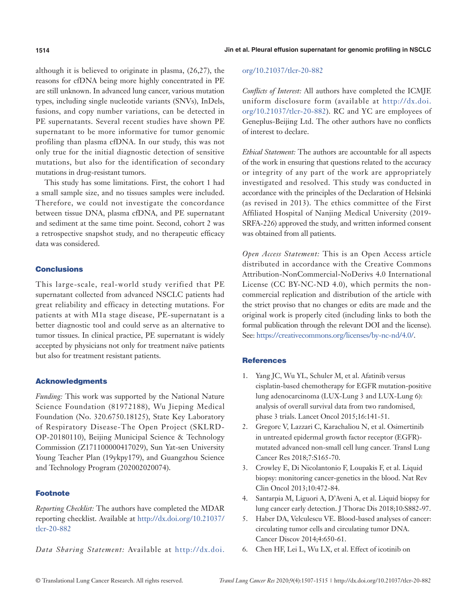although it is believed to originate in plasma, (26,27), the reasons for cfDNA being more highly concentrated in PE are still unknown. In advanced lung cancer, various mutation types, including single nucleotide variants (SNVs), InDels, fusions, and copy number variations, can be detected in PE supernatants. Several recent studies have shown PE supernatant to be more informative for tumor genomic profiling than plasma cfDNA. In our study, this was not only true for the initial diagnostic detection of sensitive mutations, but also for the identification of secondary mutations in drug-resistant tumors.

This study has some limitations. First, the cohort 1 had a small sample size, and no tissues samples were included. Therefore, we could not investigate the concordance between tissue DNA, plasma cfDNA, and PE supernatant and sediment at the same time point. Second, cohort 2 was a retrospective snapshot study, and no therapeutic efficacy data was considered.

# **Conclusions**

This large-scale, real-world study verified that PE supernatant collected from advanced NSCLC patients had great reliability and efficacy in detecting mutations. For patients at with M1a stage disease, PE-supernatant is a better diagnostic tool and could serve as an alternative to tumor tissues. In clinical practice, PE supernatant is widely accepted by physicians not only for treatment naïve patients but also for treatment resistant patients.

# Acknowledgments

*Funding:* This work was supported by the National Nature Science Foundation (81972188), Wu Jieping Medical Foundation (No. 320.6750.18125), State Key Laboratory of Respiratory Disease-The Open Project (SKLRD-OP-20180110), Beijing Municipal Science & Technology Commission (Z171100000417029), Sun Yat-sen University Young Teacher Plan (19ykpy179), and Guangzhou Science and Technology Program (202002020074).

# Footnote

*Reporting Checklist:* The authors have completed the MDAR reporting checklist. Available at [http://dx.doi.org/10.21037/](http://dx.doi.org/10.21037/tlcr-20-882) [tlcr-20-882](http://dx.doi.org/10.21037/tlcr-20-882)

*Data Sharing Statement:* Available at [http://dx.doi.](http://dx.doi.org/10.21037/tlcr-20-882)

## [org/10.21037/tlcr-20-882](http://dx.doi.org/10.21037/tlcr-20-882)

*Conflicts of Interest:* All authors have completed the ICMJE uniform disclosure form (available at [http://dx.doi.](http://dx.doi.org/10.21037/tlcr-20-882) [org/10.21037/tlcr-20-882\)](http://dx.doi.org/10.21037/tlcr-20-882). RC and YC are employees of Geneplus-Beijing Ltd. The other authors have no conflicts of interest to declare.

*Ethical Statement:* The authors are accountable for all aspects of the work in ensuring that questions related to the accuracy or integrity of any part of the work are appropriately investigated and resolved. This study was conducted in accordance with the principles of the Declaration of Helsinki (as revised in 2013). The ethics committee of the First Affiliated Hospital of Nanjing Medical University (2019- SRFA-226) approved the study, and written informed consent was obtained from all patients.

*Open Access Statement:* This is an Open Access article distributed in accordance with the Creative Commons Attribution-NonCommercial-NoDerivs 4.0 International License (CC BY-NC-ND 4.0), which permits the noncommercial replication and distribution of the article with the strict proviso that no changes or edits are made and the original work is properly cited (including links to both the formal publication through the relevant DOI and the license). See: [https://creativecommons.org/licenses/by-nc-nd/4.0/.](https://creativecommons.org/licenses/by-nc-nd/4.0/)

# **References**

- 1. Yang JC, Wu YL, Schuler M, et al. Afatinib versus cisplatin-based chemotherapy for EGFR mutation-positive lung adenocarcinoma (LUX-Lung 3 and LUX-Lung 6): analysis of overall survival data from two randomised, phase 3 trials. Lancet Oncol 2015;16:141-51.
- 2. Gregorc V, Lazzari C, Karachaliou N, et al. Osimertinib in untreated epidermal growth factor receptor (EGFR) mutated advanced non-small cell lung cancer. Transl Lung Cancer Res 2018;7:S165-70.
- 3. Crowley E, Di Nicolantonio F, Loupakis F, et al. Liquid biopsy: monitoring cancer-genetics in the blood. Nat Rev Clin Oncol 2013;10:472-84.
- 4. Santarpia M, Liguori A, D'Aveni A, et al. Liquid biopsy for lung cancer early detection. J Thorac Dis 2018;10:S882-97.
- 5. Haber DA, Velculescu VE. Blood-based analyses of cancer: circulating tumor cells and circulating tumor DNA. Cancer Discov 2014;4:650-61.
- 6. Chen HF, Lei L, Wu LX, et al. Effect of icotinib on